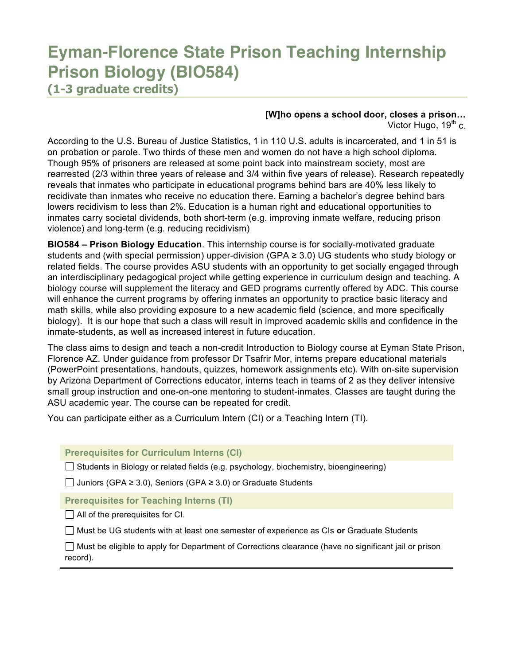# **Eyman-Florence State Prison Teaching Internship Prison Biology (BIO584)**

**(1-3 graduate credits)**

# **[W]ho opens a school door, closes a prison…**

Victor Hugo,  $19<sup>th</sup>$  c.

According to the U.S. Bureau of Justice Statistics, 1 in 110 U.S. adults is incarcerated, and 1 in 51 is on probation or parole. Two thirds of these men and women do not have a high school diploma. Though 95% of prisoners are released at some point back into mainstream society, most are rearrested (2/3 within three years of release and 3/4 within five years of release). Research repeatedly reveals that inmates who participate in educational programs behind bars are 40% less likely to recidivate than inmates who receive no education there. Earning a bachelor's degree behind bars lowers recidivism to less than 2%. Education is a human right and educational opportunities to inmates carry societal dividends, both short-term (e.g. improving inmate welfare, reducing prison violence) and long-term (e.g. reducing recidivism)

**BIO584 – Prison Biology Education**. This internship course is for socially-motivated graduate students and (with special permission) upper-division (GPA ≥ 3.0) UG students who study biology or related fields. The course provides ASU students with an opportunity to get socially engaged through an interdisciplinary pedagogical project while getting experience in curriculum design and teaching. A biology course will supplement the literacy and GED programs currently offered by ADC. This course will enhance the current programs by offering inmates an opportunity to practice basic literacy and math skills, while also providing exposure to a new academic field (science, and more specifically biology). It is our hope that such a class will result in improved academic skills and confidence in the inmate-students, as well as increased interest in future education.

The class aims to design and teach a non-credit Introduction to Biology course at Eyman State Prison, Florence AZ. Under guidance from professor Dr Tsafrir Mor, interns prepare educational materials (PowerPoint presentations, handouts, quizzes, homework assignments etc). With on-site supervision by Arizona Department of Corrections educator, interns teach in teams of 2 as they deliver intensive small group instruction and one-on-one mentoring to student-inmates. Classes are taught during the ASU academic year. The course can be repeated for credit.

You can participate either as a Curriculum Intern (CI) or a Teaching Intern (TI).

**Prerequisites for Curriculum Interns (CI)**

 $\Box$  Students in Biology or related fields (e.g. psychology, biochemistry, bioengineering)

 $□$  Juniors (GPA ≥ 3.0), Seniors (GPA ≥ 3.0) or Graduate Students

**Prerequisites for Teaching Interns (TI)**

 $\Box$  All of the prerequisites for CI.

Must be UG students with at least one semester of experience as CIs **or** Graduate Students

 $\Box$  Must be eligible to apply for Department of Corrections clearance (have no significant jail or prison record).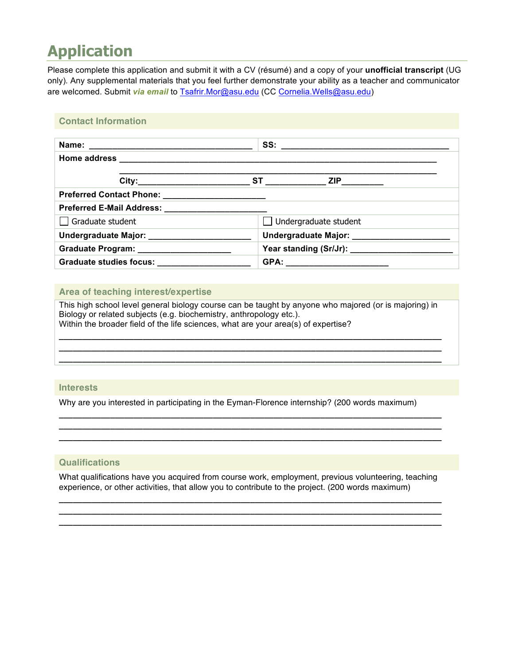# **Application**

Please complete this application and submit it with a CV (résumé) and a copy of your **unofficial transcript** (UG only)*.* Any supplemental materials that you feel further demonstrate your ability as a teacher and communicator are welcomed. Submit *via email* to Tsafrir.Mor@asu.edu (CC Cornelia.Wells@asu.edu)

### **Contact Information**

| Preferred Contact Phone: ________________________       |                                              |  |
|---------------------------------------------------------|----------------------------------------------|--|
| Preferred E-Mail Address: ___________________________   |                                              |  |
| $\Box$ Graduate student<br>$\Box$ Undergraduate student |                                              |  |
| Undergraduate Major: _______________________            | Undergraduate Major: _______________________ |  |
| Graduate Program: _____________________                 |                                              |  |
|                                                         |                                              |  |

# **Area of teaching interest/expertise**

This high school level general biology course can be taught by anyone who majored (or is majoring) in Biology or related subjects (e.g. biochemistry, anthropology etc.). Within the broader field of the life sciences, what are your area(s) of expertise?

**\_\_\_\_\_\_\_\_\_\_\_\_\_\_\_\_\_\_\_\_\_\_\_\_\_\_\_\_\_\_\_\_\_\_\_\_\_\_\_\_\_\_\_\_\_\_\_\_\_\_\_\_\_\_\_\_\_\_\_\_\_\_\_\_\_\_\_\_\_\_\_\_\_\_\_\_\_\_\_\_\_\_ \_\_\_\_\_\_\_\_\_\_\_\_\_\_\_\_\_\_\_\_\_\_\_\_\_\_\_\_\_\_\_\_\_\_\_\_\_\_\_\_\_\_\_\_\_\_\_\_\_\_\_\_\_\_\_\_\_\_\_\_\_\_\_\_\_\_\_\_\_\_\_\_\_\_\_\_\_\_\_\_\_\_ \_\_\_\_\_\_\_\_\_\_\_\_\_\_\_\_\_\_\_\_\_\_\_\_\_\_\_\_\_\_\_\_\_\_\_\_\_\_\_\_\_\_\_\_\_\_\_\_\_\_\_\_\_\_\_\_\_\_\_\_\_\_\_\_\_\_\_\_\_\_\_\_\_\_\_\_\_\_\_\_\_\_**

#### **Interests**

Why are you interested in participating in the Eyman-Florence internship? (200 words maximum)

**\_\_\_\_\_\_\_\_\_\_\_\_\_\_\_\_\_\_\_\_\_\_\_\_\_\_\_\_\_\_\_\_\_\_\_\_\_\_\_\_\_\_\_\_\_\_\_\_\_\_\_\_\_\_\_\_\_\_\_\_\_\_\_\_\_\_\_\_\_\_\_\_\_\_\_\_\_\_\_\_\_\_ \_\_\_\_\_\_\_\_\_\_\_\_\_\_\_\_\_\_\_\_\_\_\_\_\_\_\_\_\_\_\_\_\_\_\_\_\_\_\_\_\_\_\_\_\_\_\_\_\_\_\_\_\_\_\_\_\_\_\_\_\_\_\_\_\_\_\_\_\_\_\_\_\_\_\_\_\_\_\_\_\_\_ \_\_\_\_\_\_\_\_\_\_\_\_\_\_\_\_\_\_\_\_\_\_\_\_\_\_\_\_\_\_\_\_\_\_\_\_\_\_\_\_\_\_\_\_\_\_\_\_\_\_\_\_\_\_\_\_\_\_\_\_\_\_\_\_\_\_\_\_\_\_\_\_\_\_\_\_\_\_\_\_\_\_**

### **Qualifications**

What qualifications have you acquired from course work, employment, previous volunteering, teaching experience, or other activities, that allow you to contribute to the project. (200 words maximum)

**\_\_\_\_\_\_\_\_\_\_\_\_\_\_\_\_\_\_\_\_\_\_\_\_\_\_\_\_\_\_\_\_\_\_\_\_\_\_\_\_\_\_\_\_\_\_\_\_\_\_\_\_\_\_\_\_\_\_\_\_\_\_\_\_\_\_\_\_\_\_\_\_\_\_\_\_\_\_\_\_\_\_ \_\_\_\_\_\_\_\_\_\_\_\_\_\_\_\_\_\_\_\_\_\_\_\_\_\_\_\_\_\_\_\_\_\_\_\_\_\_\_\_\_\_\_\_\_\_\_\_\_\_\_\_\_\_\_\_\_\_\_\_\_\_\_\_\_\_\_\_\_\_\_\_\_\_\_\_\_\_\_\_\_\_ \_\_\_\_\_\_\_\_\_\_\_\_\_\_\_\_\_\_\_\_\_\_\_\_\_\_\_\_\_\_\_\_\_\_\_\_\_\_\_\_\_\_\_\_\_\_\_\_\_\_\_\_\_\_\_\_\_\_\_\_\_\_\_\_\_\_\_\_\_\_\_\_\_\_\_\_\_\_\_\_\_\_**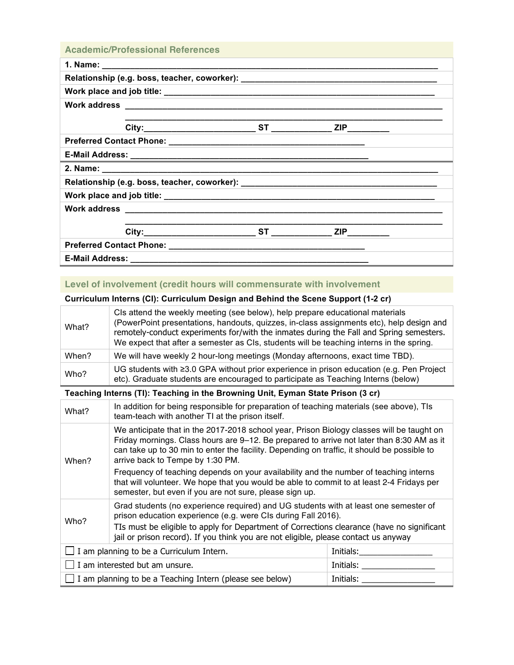| <b>Academic/Professional References</b>                                          |  |  |  |  |
|----------------------------------------------------------------------------------|--|--|--|--|
|                                                                                  |  |  |  |  |
| Relationship (e.g. boss, teacher, coworker): ___________________________________ |  |  |  |  |
|                                                                                  |  |  |  |  |
|                                                                                  |  |  |  |  |
|                                                                                  |  |  |  |  |
|                                                                                  |  |  |  |  |
|                                                                                  |  |  |  |  |
|                                                                                  |  |  |  |  |
| Relationship (e.g. boss, teacher, coworker): ___________________________________ |  |  |  |  |
|                                                                                  |  |  |  |  |
|                                                                                  |  |  |  |  |
|                                                                                  |  |  |  |  |
|                                                                                  |  |  |  |  |
|                                                                                  |  |  |  |  |
| <b>E-Mail Address:</b>                                                           |  |  |  |  |

# **Level of involvement (credit hours will commensurate with involvement**

# **Curriculum Interns (CI): Curriculum Design and Behind the Scene Support (1-2 cr)**

| What? | CIs attend the weekly meeting (see below), help prepare educational materials<br>(PowerPoint presentations, handouts, quizzes, in-class assignments etc), help design and<br>remotely-conduct experiments for/with the inmates during the Fall and Spring semesters.<br>We expect that after a semester as CIs, students will be teaching interns in the spring. |
|-------|------------------------------------------------------------------------------------------------------------------------------------------------------------------------------------------------------------------------------------------------------------------------------------------------------------------------------------------------------------------|
| When? | We will have weekly 2 hour-long meetings (Monday afternoons, exact time TBD).                                                                                                                                                                                                                                                                                    |
| Who?  | UG students with $\geq 3.0$ GPA without prior experience in prison education (e.g. Pen Project<br>etc). Graduate students are encouraged to participate as Teaching Interns (below)                                                                                                                                                                              |

## **Teaching Interns (TI): Teaching in the Browning Unit, Eyman State Prison (3 cr)**

| What?                                                                                                                                                                                                                                                       | In addition for being responsible for preparation of teaching materials (see above), TIs<br>team-teach with another TI at the prison itself.                                                                                                                                                                              |  |  |
|-------------------------------------------------------------------------------------------------------------------------------------------------------------------------------------------------------------------------------------------------------------|---------------------------------------------------------------------------------------------------------------------------------------------------------------------------------------------------------------------------------------------------------------------------------------------------------------------------|--|--|
| When?                                                                                                                                                                                                                                                       | We anticipate that in the 2017-2018 school year, Prison Biology classes will be taught on<br>Friday mornings. Class hours are 9–12. Be prepared to arrive not later than 8:30 AM as it<br>can take up to 30 min to enter the facility. Depending on traffic, it should be possible to<br>arrive back to Tempe by 1:30 PM. |  |  |
|                                                                                                                                                                                                                                                             | Frequency of teaching depends on your availability and the number of teaching interns<br>that will volunteer. We hope that you would be able to commit to at least 2-4 Fridays per<br>semester, but even if you are not sure, please sign up.                                                                             |  |  |
| Grad students (no experience required) and UG students with at least one semester of<br>prison education experience (e.g. were CIs during Fall 2016).<br>Who?<br>TIs must be eligible to apply for Department of Corrections clearance (have no significant |                                                                                                                                                                                                                                                                                                                           |  |  |
|                                                                                                                                                                                                                                                             | jail or prison record). If you think you are not eligible, please contact us anyway                                                                                                                                                                                                                                       |  |  |
| $\Box$ I am planning to be a Curriculum Intern.<br>Initials:                                                                                                                                                                                                |                                                                                                                                                                                                                                                                                                                           |  |  |
| I am interested but am unsure.<br>Initials: ___                                                                                                                                                                                                             |                                                                                                                                                                                                                                                                                                                           |  |  |
| I am planning to be a Teaching Intern (please see below)<br>Initials:                                                                                                                                                                                       |                                                                                                                                                                                                                                                                                                                           |  |  |